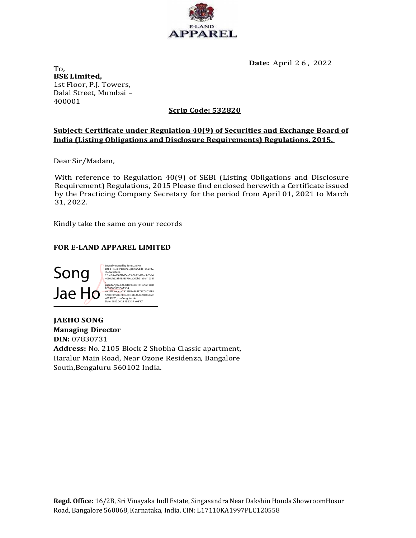

Date: April 2 6 , 2022

To, BSE Limited, 1st Floor, P.J. Towers, Dalal Street, Mumbai – 400001

## Scrip Code: 532820

### Subject: Certificate under Regulation 40(9) of Securities and Exchange Board of India (Listing Obligations and Disclosure Requirements) Regulations, 2015.

Dear Sir/Madam,

With reference to Regulation 40(9) of SEBI (Listing Obligations and Disclosure Requirement) Regulations, 2015 Please find enclosed herewith a Certificate issued by the Practicing Company Secretary for the period from April 01, 2021 to March 31, 2022.

Kindly take the same on your records

### FOR E-LAND APPAREL LIMITED



JAEHO SONG Managing Director DIN: 07830731 Address: No. 2105 Block 2 Shobha Classic apartment, Haralur Main Road, Near Ozone Residenza, Bangalore South, Bengaluru 560102 India. Song<br>
Machina Companions<br>
Managing Director<br>
Managing Director<br>
Managing Director<br>
Mathress: No. 2105 Block 2 Shobha Classic apartment,<br>
Haralur Main Road, Near Ozone Residenza, Bangalore<br>
South, Bengaluru 560102 India.<br>
R